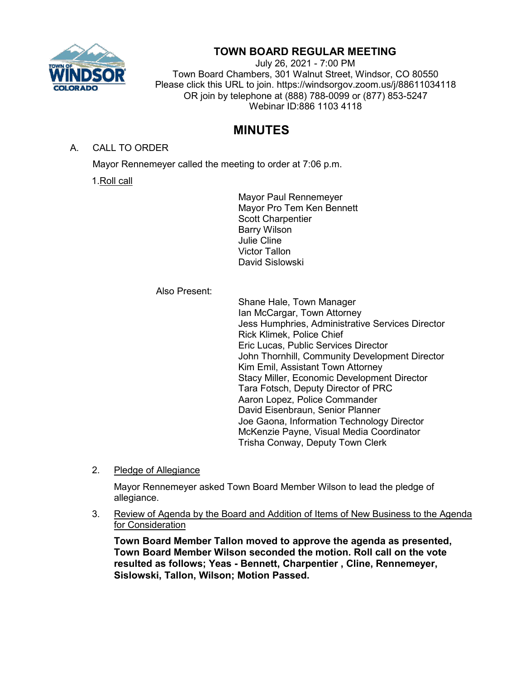

## **TOWN BOARD REGULAR MEETING**

July 26, 2021 - 7:00 PM Town Board Chambers, 301 Walnut Street, Windsor, CO 80550 Please click this URL to join. https://windsorgov.zoom.us/j/88611034118 OR join by telephone at (888) 788-0099 or (877) 853-5247 Webinar ID:886 1103 4118

# **MINUTES**

A. CALL TO ORDER

Mayor Rennemeyer called the meeting to order at 7:06 p.m.

1.Roll call

Mayor Paul Rennemeyer Mayor Pro Tem Ken Bennett Scott Charpentier Barry Wilson Julie Cline Victor Tallon David Sislowski

## Also Present:

Shane Hale, Town Manager Ian McCargar, Town Attorney Jess Humphries, Administrative Services Director Rick Klimek, Police Chief Eric Lucas, Public Services Director John Thornhill, Community Development Director Kim Emil, Assistant Town Attorney Stacy Miller, Economic Development Director Tara Fotsch, Deputy Director of PRC Aaron Lopez, Police Commander David Eisenbraun, Senior Planner Joe Gaona, Information Technology Director McKenzie Payne, Visual Media Coordinator Trisha Conway, Deputy Town Clerk

2. Pledge of Allegiance

Mayor Rennemeyer asked Town Board Member Wilson to lead the pledge of allegiance.

3. Review of Agenda by the Board and Addition of Items of New Business to the Agenda for Consideration

**Town Board Member Tallon moved to approve the agenda as presented, Town Board Member Wilson seconded the motion. Roll call on the vote resulted as follows; Yeas - Bennett, Charpentier , Cline, Rennemeyer, Sislowski, Tallon, Wilson; Motion Passed.**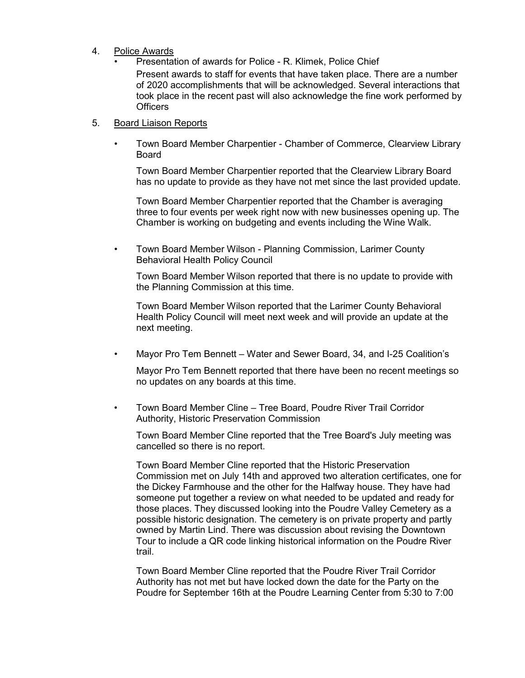- 4. Police Awards
	- Presentation of awards for Police R. Klimek, Police Chief Present awards to staff for events that have taken place. There are a number of 2020 accomplishments that will be acknowledged. Several interactions that took place in the recent past will also acknowledge the fine work performed by **Officers**

#### 5. Board Liaison Reports

• Town Board Member Charpentier - Chamber of Commerce, Clearview Library Board

Town Board Member Charpentier reported that the Clearview Library Board has no update to provide as they have not met since the last provided update.

Town Board Member Charpentier reported that the Chamber is averaging three to four events per week right now with new businesses opening up. The Chamber is working on budgeting and events including the Wine Walk.

• Town Board Member Wilson - Planning Commission, Larimer County Behavioral Health Policy Council

Town Board Member Wilson reported that there is no update to provide with the Planning Commission at this time.

Town Board Member Wilson reported that the Larimer County Behavioral Health Policy Council will meet next week and will provide an update at the next meeting.

• Mayor Pro Tem Bennett – Water and Sewer Board, 34, and I-25 Coalition's

Mayor Pro Tem Bennett reported that there have been no recent meetings so no updates on any boards at this time.

• Town Board Member Cline – Tree Board, Poudre River Trail Corridor Authority, Historic Preservation Commission

Town Board Member Cline reported that the Tree Board's July meeting was cancelled so there is no report.

Town Board Member Cline reported that the Historic Preservation Commission met on July 14th and approved two alteration certificates, one for the Dickey Farmhouse and the other for the Halfway house. They have had someone put together a review on what needed to be updated and ready for those places. They discussed looking into the Poudre Valley Cemetery as a possible historic designation. The cemetery is on private property and partly owned by Martin Lind. There was discussion about revising the Downtown Tour to include a QR code linking historical information on the Poudre River trail.

Town Board Member Cline reported that the Poudre River Trail Corridor Authority has not met but have locked down the date for the Party on the Poudre for September 16th at the Poudre Learning Center from 5:30 to 7:00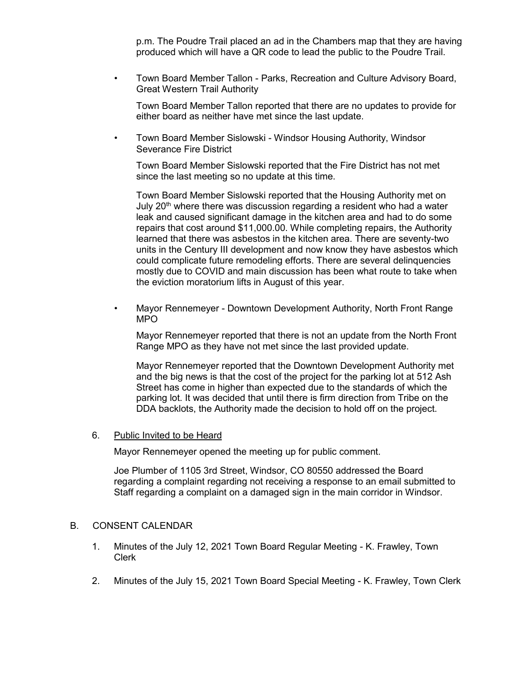p.m. The Poudre Trail placed an ad in the Chambers map that they are having produced which will have a QR code to lead the public to the Poudre Trail.

• Town Board Member Tallon - Parks, Recreation and Culture Advisory Board, Great Western Trail Authority

Town Board Member Tallon reported that there are no updates to provide for either board as neither have met since the last update.

• Town Board Member Sislowski - Windsor Housing Authority, Windsor Severance Fire District

Town Board Member Sislowski reported that the Fire District has not met since the last meeting so no update at this time.

Town Board Member Sislowski reported that the Housing Authority met on July 20<sup>th</sup> where there was discussion regarding a resident who had a water leak and caused significant damage in the kitchen area and had to do some repairs that cost around \$11,000.00. While completing repairs, the Authority learned that there was asbestos in the kitchen area. There are seventy-two units in the Century III development and now know they have asbestos which could complicate future remodeling efforts. There are several delinquencies mostly due to COVID and main discussion has been what route to take when the eviction moratorium lifts in August of this year.

• Mayor Rennemeyer - Downtown Development Authority, North Front Range MPO

Mayor Rennemeyer reported that there is not an update from the North Front Range MPO as they have not met since the last provided update.

Mayor Rennemeyer reported that the Downtown Development Authority met and the big news is that the cost of the project for the parking lot at 512 Ash Street has come in higher than expected due to the standards of which the parking lot. It was decided that until there is firm direction from Tribe on the DDA backlots, the Authority made the decision to hold off on the project.

#### 6. Public Invited to be Heard

Mayor Rennemeyer opened the meeting up for public comment.

Joe Plumber of 1105 3rd Street, Windsor, CO 80550 addressed the Board regarding a complaint regarding not receiving a response to an email submitted to Staff regarding a complaint on a damaged sign in the main corridor in Windsor.

#### B. CONSENT CALENDAR

- 1. Minutes of the July 12, 2021 Town Board Regular Meeting K. Frawley, Town Clerk
- 2. Minutes of the July 15, 2021 Town Board Special Meeting K. Frawley, Town Clerk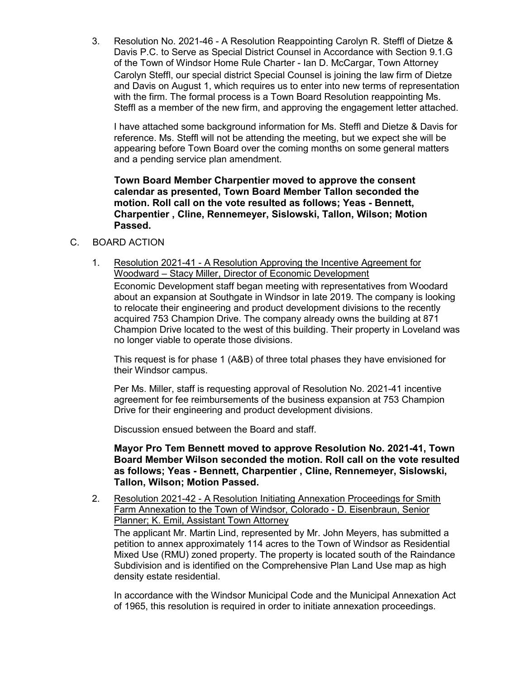3. Resolution No. 2021-46 - A Resolution Reappointing Carolyn R. Steffl of Dietze & Davis P.C. to Serve as Special District Counsel in Accordance with Section 9.1.G of the Town of Windsor Home Rule Charter - Ian D. McCargar, Town Attorney Carolyn Steffl, our special district Special Counsel is joining the law firm of Dietze and Davis on August 1, which requires us to enter into new terms of representation with the firm. The formal process is a Town Board Resolution reappointing Ms. Steffl as a member of the new firm, and approving the engagement letter attached.

I have attached some background information for Ms. Steffl and Dietze & Davis for reference. Ms. Steffl will not be attending the meeting, but we expect she will be appearing before Town Board over the coming months on some general matters and a pending service plan amendment.

**Town Board Member Charpentier moved to approve the consent calendar as presented, Town Board Member Tallon seconded the motion. Roll call on the vote resulted as follows; Yeas - Bennett, Charpentier , Cline, Rennemeyer, Sislowski, Tallon, Wilson; Motion Passed.**

## C. BOARD ACTION

1. Resolution 2021-41 - A Resolution Approving the Incentive Agreement for Woodward – Stacy Miller, Director of Economic Development Economic Development staff began meeting with representatives from Woodard about an expansion at Southgate in Windsor in late 2019. The company is looking to relocate their engineering and product development divisions to the recently acquired 753 Champion Drive. The company already owns the building at 871 Champion Drive located to the west of this building. Their property in Loveland was no longer viable to operate those divisions.

This request is for phase 1 (A&B) of three total phases they have envisioned for their Windsor campus.

Per Ms. Miller, staff is requesting approval of Resolution No. 2021-41 incentive agreement for fee reimbursements of the business expansion at 753 Champion Drive for their engineering and product development divisions.

Discussion ensued between the Board and staff.

**Mayor Pro Tem Bennett moved to approve Resolution No. 2021-41, Town Board Member Wilson seconded the motion. Roll call on the vote resulted as follows; Yeas - Bennett, Charpentier , Cline, Rennemeyer, Sislowski, Tallon, Wilson; Motion Passed.**

2. Resolution 2021-42 - A Resolution Initiating Annexation Proceedings for Smith Farm Annexation to the Town of Windsor, Colorado - D. Eisenbraun, Senior Planner; K. Emil, Assistant Town Attorney The applicant Mr. Martin Lind, represented by Mr. John Meyers, has submitted a petition to annex approximately 114 acres to the Town of Windsor as Residential Mixed Use (RMU) zoned property. The property is located south of the Raindance Subdivision and is identified on the Comprehensive Plan Land Use map as high density estate residential.

In accordance with the Windsor Municipal Code and the Municipal Annexation Act of 1965, this resolution is required in order to initiate annexation proceedings.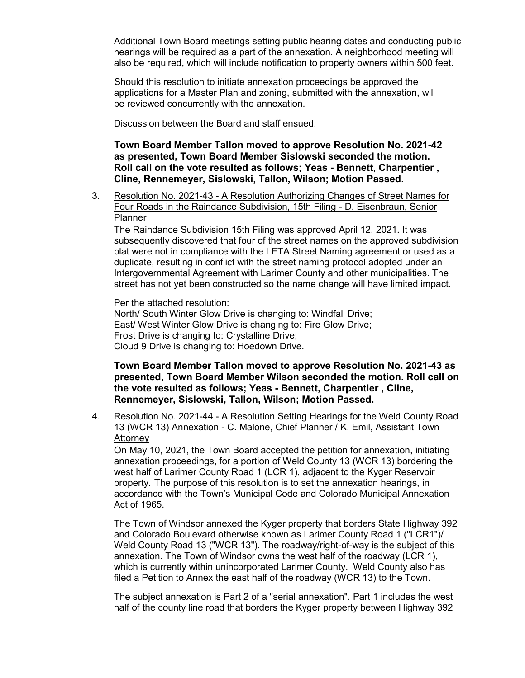Additional Town Board meetings setting public hearing dates and conducting public hearings will be required as a part of the annexation. A neighborhood meeting will also be required, which will include notification to property owners within 500 feet.

Should this resolution to initiate annexation proceedings be approved the applications for a Master Plan and zoning, submitted with the annexation, will be reviewed concurrently with the annexation.

Discussion between the Board and staff ensued.

**Town Board Member Tallon moved to approve Resolution No. 2021-42 as presented, Town Board Member Sislowski seconded the motion. Roll call on the vote resulted as follows; Yeas - Bennett, Charpentier , Cline, Rennemeyer, Sislowski, Tallon, Wilson; Motion Passed.**

3. Resolution No. 2021-43 - A Resolution Authorizing Changes of Street Names for Four Roads in the Raindance Subdivision, 15th Filing - D. Eisenbraun, Senior **Planner** 

The Raindance Subdivision 15th Filing was approved April 12, 2021. It was subsequently discovered that four of the street names on the approved subdivision plat were not in compliance with the LETA Street Naming agreement or used as a duplicate, resulting in conflict with the street naming protocol adopted under an Intergovernmental Agreement with Larimer County and other municipalities. The street has not yet been constructed so the name change will have limited impact.

Per the attached resolution: North/ South Winter Glow Drive is changing to: Windfall Drive; East/ West Winter Glow Drive is changing to: Fire Glow Drive; Frost Drive is changing to: Crystalline Drive; Cloud 9 Drive is changing to: Hoedown Drive.

**Town Board Member Tallon moved to approve Resolution No. 2021-43 as presented, Town Board Member Wilson seconded the motion. Roll call on the vote resulted as follows; Yeas - Bennett, Charpentier , Cline, Rennemeyer, Sislowski, Tallon, Wilson; Motion Passed.**

4. Resolution No. 2021-44 - A Resolution Setting Hearings for the Weld County Road 13 (WCR 13) Annexation - C. Malone, Chief Planner / K. Emil, Assistant Town **Attorney** 

On May 10, 2021, the Town Board accepted the petition for annexation, initiating annexation proceedings, for a portion of Weld County 13 (WCR 13) bordering the west half of Larimer County Road 1 (LCR 1), adjacent to the Kyger Reservoir property. The purpose of this resolution is to set the annexation hearings, in accordance with the Town's Municipal Code and Colorado Municipal Annexation Act of 1965.

The Town of Windsor annexed the Kyger property that borders State Highway 392 and Colorado Boulevard otherwise known as Larimer County Road 1 ("LCR1")/ Weld County Road 13 ("WCR 13"). The roadway/right-of-way is the subject of this annexation. The Town of Windsor owns the west half of the roadway (LCR 1), which is currently within unincorporated Larimer County. Weld County also has filed a Petition to Annex the east half of the roadway (WCR 13) to the Town.

The subject annexation is Part 2 of a "serial annexation". Part 1 includes the west half of the county line road that borders the Kyger property between Highway 392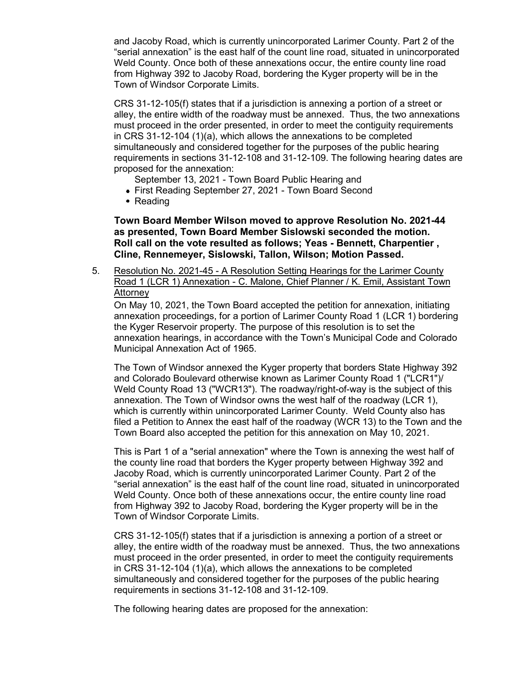and Jacoby Road, which is currently unincorporated Larimer County. Part 2 of the "serial annexation" is the east half of the count line road, situated in unincorporated Weld County. Once both of these annexations occur, the entire county line road from Highway 392 to Jacoby Road, bordering the Kyger property will be in the Town of Windsor Corporate Limits.

CRS 31-12-105(f) states that if a jurisdiction is annexing a portion of a street or alley, the entire width of the roadway must be annexed. Thus, the two annexations must proceed in the order presented, in order to meet the contiguity requirements in CRS 31-12-104 (1)(a), which allows the annexations to be completed simultaneously and considered together for the purposes of the public hearing requirements in sections 31-12-108 and 31-12-109. The following hearing dates are proposed for the annexation:

- September 13, 2021 Town Board Public Hearing and
- First Reading September 27, 2021 Town Board Second
- Reading

**Town Board Member Wilson moved to approve Resolution No. 2021-44 as presented, Town Board Member Sislowski seconded the motion. Roll call on the vote resulted as follows; Yeas - Bennett, Charpentier , Cline, Rennemeyer, Sislowski, Tallon, Wilson; Motion Passed.**

5. Resolution No. 2021-45 - A Resolution Setting Hearings for the Larimer County Road 1 (LCR 1) Annexation - C. Malone, Chief Planner / K. Emil, Assistant Town Attorney

On May 10, 2021, the Town Board accepted the petition for annexation, initiating annexation proceedings, for a portion of Larimer County Road 1 (LCR 1) bordering the Kyger Reservoir property. The purpose of this resolution is to set the annexation hearings, in accordance with the Town's Municipal Code and Colorado Municipal Annexation Act of 1965.

The Town of Windsor annexed the Kyger property that borders State Highway 392 and Colorado Boulevard otherwise known as Larimer County Road 1 ("LCR1")/ Weld County Road 13 ("WCR13"). The roadway/right-of-way is the subject of this annexation. The Town of Windsor owns the west half of the roadway (LCR 1), which is currently within unincorporated Larimer County. Weld County also has filed a Petition to Annex the east half of the roadway (WCR 13) to the Town and the Town Board also accepted the petition for this annexation on May 10, 2021.

This is Part 1 of a "serial annexation" where the Town is annexing the west half of the county line road that borders the Kyger property between Highway 392 and Jacoby Road, which is currently unincorporated Larimer County. Part 2 of the "serial annexation" is the east half of the count line road, situated in unincorporated Weld County. Once both of these annexations occur, the entire county line road from Highway 392 to Jacoby Road, bordering the Kyger property will be in the Town of Windsor Corporate Limits.

CRS 31-12-105(f) states that if a jurisdiction is annexing a portion of a street or alley, the entire width of the roadway must be annexed. Thus, the two annexations must proceed in the order presented, in order to meet the contiguity requirements in CRS 31-12-104 (1)(a), which allows the annexations to be completed simultaneously and considered together for the purposes of the public hearing requirements in sections 31-12-108 and 31-12-109.

The following hearing dates are proposed for the annexation: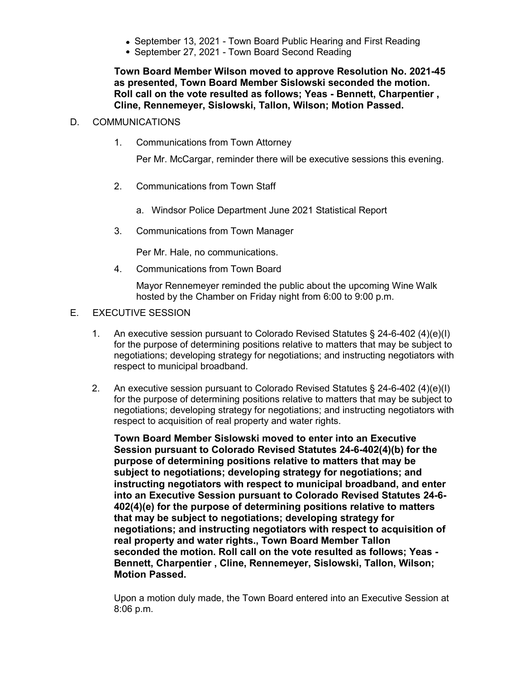- September 13, 2021 Town Board Public Hearing and First Reading
- September 27, 2021 Town Board Second Reading

**Town Board Member Wilson moved to approve Resolution No. 2021-45 as presented, Town Board Member Sislowski seconded the motion. Roll call on the vote resulted as follows; Yeas - Bennett, Charpentier , Cline, Rennemeyer, Sislowski, Tallon, Wilson; Motion Passed.**

#### D. COMMUNICATIONS

1. Communications from Town Attorney

Per Mr. McCargar, reminder there will be executive sessions this evening.

- 2. Communications from Town Staff
	- a. Windsor Police Department June 2021 Statistical Report
- 3. Communications from Town Manager

Per Mr. Hale, no communications.

4. Communications from Town Board

Mayor Rennemeyer reminded the public about the upcoming Wine Walk hosted by the Chamber on Friday night from 6:00 to 9:00 p.m.

### E. EXECUTIVE SESSION

- 1. An executive session pursuant to Colorado Revised Statutes § 24-6-402 (4)(e)(I) for the purpose of determining positions relative to matters that may be subject to negotiations; developing strategy for negotiations; and instructing negotiators with respect to municipal broadband.
- 2. An executive session pursuant to Colorado Revised Statutes § 24-6-402 (4)(e)(I) for the purpose of determining positions relative to matters that may be subject to negotiations; developing strategy for negotiations; and instructing negotiators with respect to acquisition of real property and water rights.

**Town Board Member Sislowski moved to enter into an Executive Session pursuant to Colorado Revised Statutes 24-6-402(4)(b) for the purpose of determining positions relative to matters that may be subject to negotiations; developing strategy for negotiations; and instructing negotiators with respect to municipal broadband, and enter into an Executive Session pursuant to Colorado Revised Statutes 24-6- 402(4)(e) for the purpose of determining positions relative to matters that may be subject to negotiations; developing strategy for negotiations; and instructing negotiators with respect to acquisition of real property and water rights., Town Board Member Tallon seconded the motion. Roll call on the vote resulted as follows; Yeas - Bennett, Charpentier , Cline, Rennemeyer, Sislowski, Tallon, Wilson; Motion Passed.**

Upon a motion duly made, the Town Board entered into an Executive Session at 8:06 p.m.